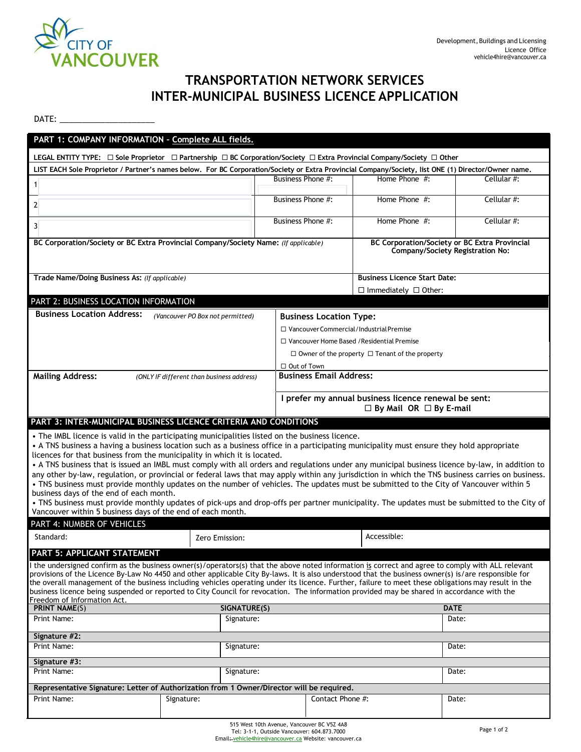

## **TRANSPORTATION NETWORK SERVICES INTER-MUNICIPAL BUSINESS LICENCE APPLICATION**

 $DATE:$ 

| PART 1: COMPANY INFORMATION - Complete ALL fields.                                                                                                                                                                                                                                                                                                                                                                                                                                                                                                                                                                                                                                                                                                                         |                                  |                                                                                            |                  |             |  |
|----------------------------------------------------------------------------------------------------------------------------------------------------------------------------------------------------------------------------------------------------------------------------------------------------------------------------------------------------------------------------------------------------------------------------------------------------------------------------------------------------------------------------------------------------------------------------------------------------------------------------------------------------------------------------------------------------------------------------------------------------------------------------|----------------------------------|--------------------------------------------------------------------------------------------|------------------|-------------|--|
| LEGAL ENTITY TYPE: $\Box$ Sole Proprietor $\Box$ Partnership $\Box$ BC Corporation/Society $\Box$ Extra Provincial Company/Society $\Box$ Other                                                                                                                                                                                                                                                                                                                                                                                                                                                                                                                                                                                                                            |                                  |                                                                                            |                  |             |  |
| LIST EACH Sole Proprietor / Partner's names below. For BC Corporation/Society or Extra Provincial Company/Society, list ONE (1) Director/Owner name.                                                                                                                                                                                                                                                                                                                                                                                                                                                                                                                                                                                                                       |                                  |                                                                                            |                  |             |  |
| $\mathbf{1}$                                                                                                                                                                                                                                                                                                                                                                                                                                                                                                                                                                                                                                                                                                                                                               |                                  | Business Phone #:                                                                          | Home Phone $#$ : | Cellular #: |  |
| $\overline{2}$                                                                                                                                                                                                                                                                                                                                                                                                                                                                                                                                                                                                                                                                                                                                                             |                                  | Business Phone #:                                                                          | Home Phone $#$ : | Cellular #: |  |
| $\overline{3}$                                                                                                                                                                                                                                                                                                                                                                                                                                                                                                                                                                                                                                                                                                                                                             |                                  | Business Phone #:                                                                          | Home Phone #:    | Cellular #: |  |
| BC Corporation/Society or BC Extra Provincial Company/Society Name: (If applicable)<br><b>BC Corporation/Society or BC Extra Provincial</b><br>Company/Society Registration No:                                                                                                                                                                                                                                                                                                                                                                                                                                                                                                                                                                                            |                                  |                                                                                            |                  |             |  |
| Trade Name/Doing Business As: (If applicable)                                                                                                                                                                                                                                                                                                                                                                                                                                                                                                                                                                                                                                                                                                                              |                                  | <b>Business Licence Start Date:</b>                                                        |                  |             |  |
|                                                                                                                                                                                                                                                                                                                                                                                                                                                                                                                                                                                                                                                                                                                                                                            |                                  | $\Box$ Immediately $\Box$ Other:                                                           |                  |             |  |
| PART 2: BUSINESS LOCATION INFORMATION                                                                                                                                                                                                                                                                                                                                                                                                                                                                                                                                                                                                                                                                                                                                      |                                  |                                                                                            |                  |             |  |
| <b>Business Location Address:</b>                                                                                                                                                                                                                                                                                                                                                                                                                                                                                                                                                                                                                                                                                                                                          | (Vancouver PO Box not permitted) | <b>Business Location Type:</b>                                                             |                  |             |  |
|                                                                                                                                                                                                                                                                                                                                                                                                                                                                                                                                                                                                                                                                                                                                                                            |                                  | $\Box$ Vancouver Commercial / Industrial Premise                                           |                  |             |  |
|                                                                                                                                                                                                                                                                                                                                                                                                                                                                                                                                                                                                                                                                                                                                                                            |                                  | □ Vancouver Home Based / Residential Premise                                               |                  |             |  |
|                                                                                                                                                                                                                                                                                                                                                                                                                                                                                                                                                                                                                                                                                                                                                                            |                                  | $\Box$ Owner of the property $\Box$ Tenant of the property                                 |                  |             |  |
|                                                                                                                                                                                                                                                                                                                                                                                                                                                                                                                                                                                                                                                                                                                                                                            |                                  | $\Box$ Out of Town                                                                         |                  |             |  |
| <b>Mailing Address:</b><br>(ONLY IF different than business address)                                                                                                                                                                                                                                                                                                                                                                                                                                                                                                                                                                                                                                                                                                       |                                  | <b>Business Email Address:</b>                                                             |                  |             |  |
|                                                                                                                                                                                                                                                                                                                                                                                                                                                                                                                                                                                                                                                                                                                                                                            |                                  | I prefer my annual business licence renewal be sent:<br>$\Box$ By Mail OR $\Box$ By E-mail |                  |             |  |
|                                                                                                                                                                                                                                                                                                                                                                                                                                                                                                                                                                                                                                                                                                                                                                            |                                  |                                                                                            |                  |             |  |
| PART 3: INTER-MUNICIPAL BUSINESS LICENCE CRITERIA AND CONDITIONS                                                                                                                                                                                                                                                                                                                                                                                                                                                                                                                                                                                                                                                                                                           |                                  |                                                                                            |                  |             |  |
| • The IMBL licence is valid in the participating municipalities listed on the business licence.<br>• A TNS business a having a business location such as a business office in a participating municipality must ensure they hold appropriate<br>licences for that business from the municipality in which it is located.<br>• A TNS business that is issued an IMBL must comply with all orders and regulations under any municipal business licence by-law, in addition to<br>any other by-law, regulation, or provincial or federal laws that may apply within any jurisdiction in which the TNS business carries on business.<br>. TNS business must provide monthly updates on the number of vehicles. The updates must be submitted to the City of Vancouver within 5 |                                  |                                                                                            |                  |             |  |
| business days of the end of each month.<br>. TNS business must provide monthly updates of pick-ups and drop-offs per partner municipality. The updates must be submitted to the City of                                                                                                                                                                                                                                                                                                                                                                                                                                                                                                                                                                                    |                                  |                                                                                            |                  |             |  |
| Vancouver within 5 business days of the end of each month.                                                                                                                                                                                                                                                                                                                                                                                                                                                                                                                                                                                                                                                                                                                 |                                  |                                                                                            |                  |             |  |
| PART 4: NUMBER OF VEHICLES                                                                                                                                                                                                                                                                                                                                                                                                                                                                                                                                                                                                                                                                                                                                                 |                                  |                                                                                            |                  |             |  |
| Standard:                                                                                                                                                                                                                                                                                                                                                                                                                                                                                                                                                                                                                                                                                                                                                                  | Zero Emission:                   |                                                                                            | Accessible:      |             |  |
| PART 5: APPLICANT STATEMENT<br>I the undersigned confirm as the business owner(s)/operators(s) that the above noted information is correct and agree to comply with ALL relevant<br>provisions of the Licence By-Law No 4450 and other applicable City By-laws. It is also understood that the business owner(s) is/are responsible for<br>the overall management of the business including vehicles operating under its licence. Further, failure to meet these obligations may result in the<br>business licence being suspended or reported to City Council for revocation. The information provided may be shared in accordance with the<br>Freedom of Information Act.                                                                                                |                                  |                                                                                            |                  |             |  |
| <b>PRINT NAME(S)</b><br>SIGNATURE(S)                                                                                                                                                                                                                                                                                                                                                                                                                                                                                                                                                                                                                                                                                                                                       |                                  | <b>DATE</b>                                                                                |                  |             |  |
| Print Name:<br>Signature:                                                                                                                                                                                                                                                                                                                                                                                                                                                                                                                                                                                                                                                                                                                                                  |                                  |                                                                                            |                  | Date:       |  |
| Signature #2:                                                                                                                                                                                                                                                                                                                                                                                                                                                                                                                                                                                                                                                                                                                                                              |                                  |                                                                                            |                  |             |  |
| Print Name:<br>Signature:                                                                                                                                                                                                                                                                                                                                                                                                                                                                                                                                                                                                                                                                                                                                                  |                                  |                                                                                            |                  | Date:       |  |
| Signature #3:                                                                                                                                                                                                                                                                                                                                                                                                                                                                                                                                                                                                                                                                                                                                                              |                                  |                                                                                            |                  |             |  |
| Print Name:<br>Signature:                                                                                                                                                                                                                                                                                                                                                                                                                                                                                                                                                                                                                                                                                                                                                  |                                  | Date:                                                                                      |                  |             |  |
| Representative Signature: Letter of Authorization from 1 Owner/Director will be required.                                                                                                                                                                                                                                                                                                                                                                                                                                                                                                                                                                                                                                                                                  |                                  |                                                                                            |                  |             |  |
| Print Name:                                                                                                                                                                                                                                                                                                                                                                                                                                                                                                                                                                                                                                                                                                                                                                | Signature:                       | Contact Phone #:                                                                           |                  | Date:       |  |